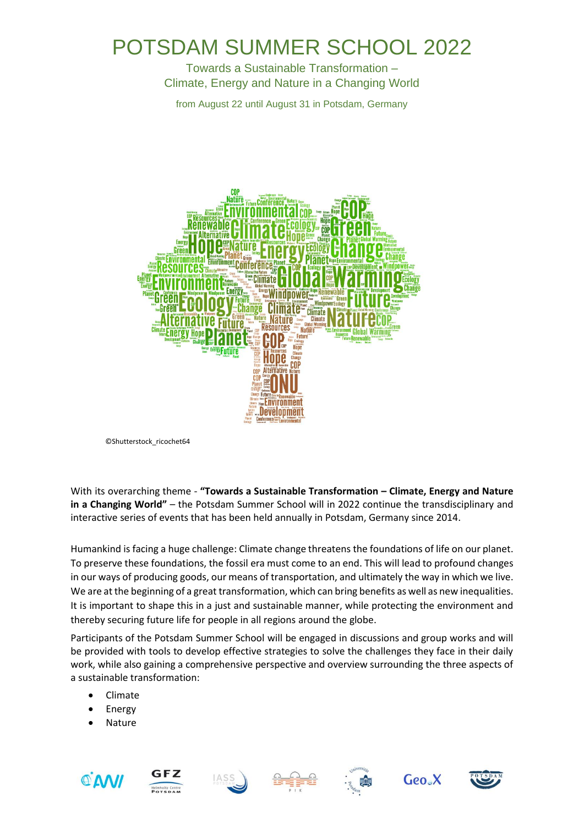## POTSDAM SUMMER SCHOOL 2022

Towards a Sustainable Transformation – Climate, Energy and Nature in a Changing World

from August 22 until August 31 in Potsdam, Germany



©Shutterstock\_ricochet64

With its overarching theme - **"Towards a Sustainable Transformation – Climate, Energy and Nature in a Changing World"** – the Potsdam Summer School will in 2022 continue the transdisciplinary and interactive series of events that has been held annually in Potsdam, Germany since 2014.

Humankind is facing a huge challenge: Climate change threatens the foundations of life on our planet. To preserve these foundations, the fossil era must come to an end. This will lead to profound changes in our ways of producing goods, our means of transportation, and ultimately the way in which we live. We are at the beginning of a great transformation, which can bring benefits as well as new inequalities. It is important to shape this in a just and sustainable manner, while protecting the environment and thereby securing future life for people in all regions around the globe.

Participants of the Potsdam Summer School will be engaged in discussions and group works and will be provided with tools to develop effective strategies to solve the challenges they face in their daily work, while also gaining a comprehensive perspective and overview surrounding the three aspects of a sustainable transformation:

- Climate
- **Energy**
- **Nature**